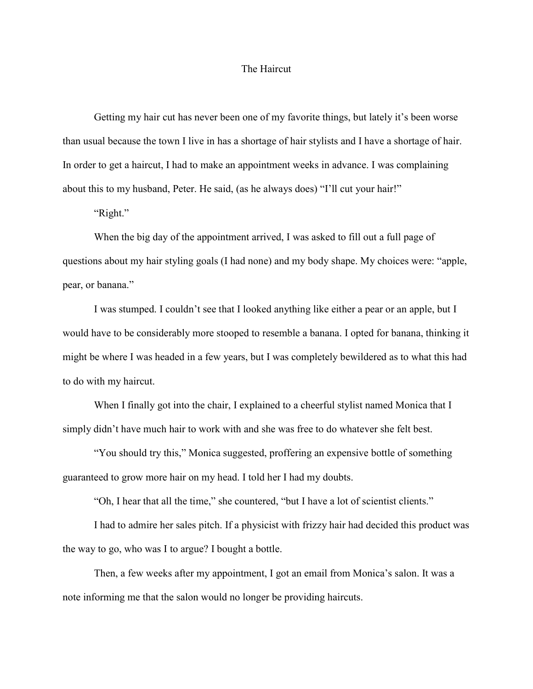## The Haircut

Getting my hair cut has never been one of my favorite things, but lately it's been worse than usual because the town I live in has a shortage of hair stylists and I have a shortage of hair. In order to get a haircut, I had to make an appointment weeks in advance. I was complaining about this to my husband, Peter. He said, (as he always does) "I'll cut your hair!"

"Right."

When the big day of the appointment arrived, I was asked to fill out a full page of questions about my hair styling goals (I had none) and my body shape. My choices were: "apple, pear, or banana."

 I was stumped. I couldn't see that I looked anything like either a pear or an apple, but I would have to be considerably more stooped to resemble a banana. I opted for banana, thinking it might be where I was headed in a few years, but I was completely bewildered as to what this had to do with my haircut.

 When I finally got into the chair, I explained to a cheerful stylist named Monica that I simply didn't have much hair to work with and she was free to do whatever she felt best.

 "You should try this," Monica suggested, proffering an expensive bottle of something guaranteed to grow more hair on my head. I told her I had my doubts.

"Oh, I hear that all the time," she countered, "but I have a lot of scientist clients."

 I had to admire her sales pitch. If a physicist with frizzy hair had decided this product was the way to go, who was I to argue? I bought a bottle.

 Then, a few weeks after my appointment, I got an email from Monica's salon. It was a note informing me that the salon would no longer be providing haircuts.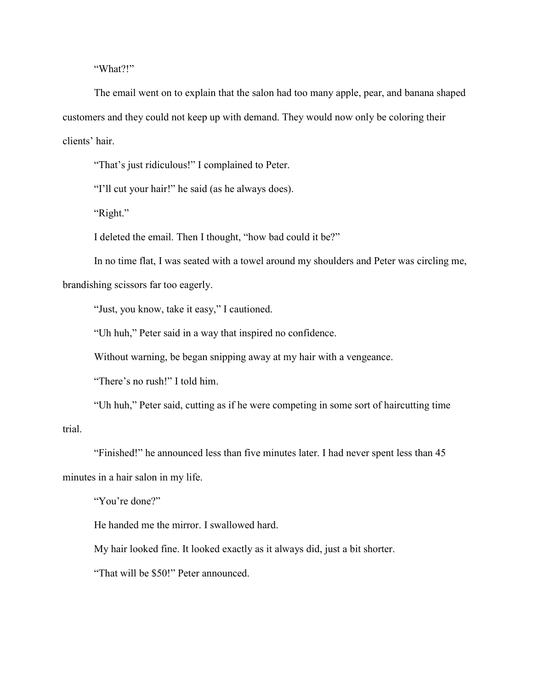"What?!"

The email went on to explain that the salon had too many apple, pear, and banana shaped customers and they could not keep up with demand. They would now only be coloring their clients' hair.

"That's just ridiculous!" I complained to Peter.

"I'll cut your hair!" he said (as he always does).

"Right."

I deleted the email. Then I thought, "how bad could it be?"

In no time flat, I was seated with a towel around my shoulders and Peter was circling me,

brandishing scissors far too eagerly.

"Just, you know, take it easy," I cautioned.

"Uh huh," Peter said in a way that inspired no confidence.

Without warning, be began snipping away at my hair with a vengeance.

"There's no rush!" I told him.

"Uh huh," Peter said, cutting as if he were competing in some sort of haircutting time trial.

"Finished!" he announced less than five minutes later. I had never spent less than 45 minutes in a hair salon in my life.

"You're done?"

He handed me the mirror. I swallowed hard.

My hair looked fine. It looked exactly as it always did, just a bit shorter.

"That will be \$50!" Peter announced.